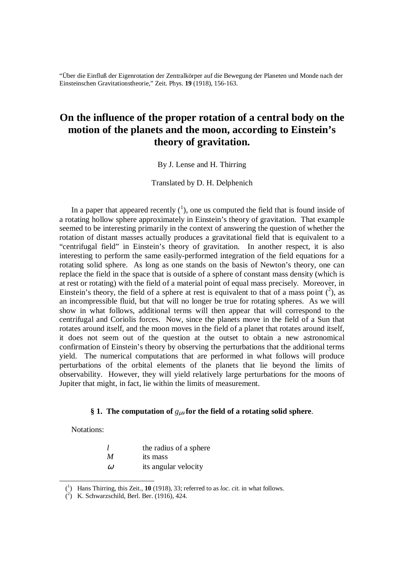"Über die Einfluß der Eigenrotation der Zentralkörper auf die Bewegung der Planeten und Monde nach der Einsteinschen Gravitationstheorie," Zeit. Phys. **19** (1918), 156-163.

# **On the influence of the proper rotation of a central body on the motion of the planets and the moon, according to Einstein's theory of gravitation.**

By J. Lense and H. Thirring

Translated by D. H. Delphenich

In a paper that appeared recently  $(1)$ , one us computed the field that is found inside of a rotating hollow sphere approximately in Einstein's theory of gravitation. That example seemed to be interesting primarily in the context of answering the question of whether the rotation of distant masses actually produces a gravitational field that is equivalent to a "centrifugal field" in Einstein's theory of gravitation. In another respect, it is also interesting to perform the same easily-performed integration of the field equations for a rotating solid sphere. As long as one stands on the basis of Newton's theory, one can replace the field in the space that is outside of a sphere of constant mass density (which is at rest or rotating) with the field of a material point of equal mass precisely. Moreover, in Einstein's theory, the field of a sphere at rest is equivalent to that of a mass point  $(^2)$ , as an incompressible fluid, but that will no longer be true for rotating spheres. As we will show in what follows, additional terms will then appear that will correspond to the centrifugal and Coriolis forces. Now, since the planets move in the field of a Sun that rotates around itself, and the moon moves in the field of a planet that rotates around itself, it does not seem out of the question at the outset to obtain a new astronomical confirmation of Einstein's theory by observing the perturbations that the additional terms yield. The numerical computations that are performed in what follows will produce perturbations of the orbital elements of the planets that lie beyond the limits of observability. However, they will yield relatively large perturbations for the moons of Jupiter that might, in fact, lie within the limits of measurement.

## **§ 1. The computation of** *g*µν **for the field of a rotating solid sphere**.

Notations:

- *l* the radius of a sphere
- *M* its mass
- $\omega$  its angular velocity

 <sup>(</sup><sup>1</sup> ) Hans Thirring, this Zeit., **10** (1918), 33; referred to as *loc. cit.* in what follows.

 <sup>(</sup><sup>2</sup> ) K. Schwarzschild, Berl. Ber. (1916), 424.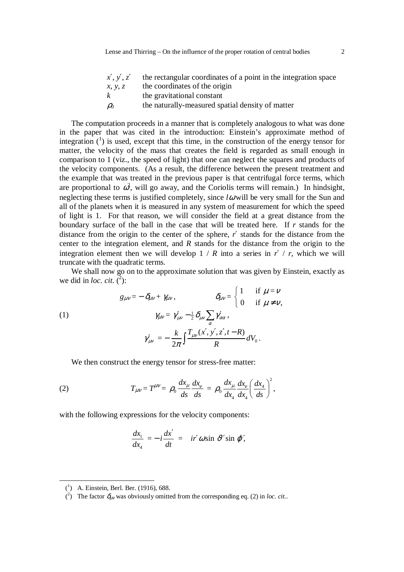The computation proceeds in a manner that is completely analogous to what was done in the paper that was cited in the introduction: Einstein's approximate method of integration  $(1)$  is used, except that this time, in the construction of the energy tensor for matter, the velocity of the mass that creates the field is regarded as small enough in comparison to 1 (viz., the speed of light) that one can neglect the squares and products of the velocity components. (As a result, the difference between the present treatment and the example that was treated in the previous paper is that centrifugal force terms, which are proportional to  $\hat{\omega}$ , will go away, and the Coriolis terms will remain.) In hindsight, neglecting these terms is justified completely, since *l*ω will be very small for the Sun and all of the planets when it is measured in any system of measurement for which the speed of light is 1. For that reason, we will consider the field at a great distance from the boundary surface of the ball in the case that will be treated here. If *r* stands for the distance from the origin to the center of the sphere, *r*′ stands for the distance from the center to the integration element, and *R* stands for the distance from the origin to the integration element then we will develop  $1 / R$  into a series in  $r' / r$ , which we will truncate with the quadratic terms.

We shall now go on to the approximate solution that was given by Einstein, exactly as we did in *loc. cit.*  $\overline{(^2)}$ :

(1)  
\n
$$
g_{\mu\nu} = -\delta_{\mu\nu} + \gamma_{\mu\nu}, \qquad \delta_{\mu\nu} = \begin{cases} 1 & \text{if } \mu = \nu \\ 0 & \text{if } \mu \neq \nu, \end{cases}
$$
\n
$$
\gamma_{\mu\nu} = \gamma_{\mu\nu}' - \frac{1}{2} \delta_{\mu\nu} \sum_{\alpha} \gamma_{\alpha\alpha}',
$$
\n
$$
\gamma_{\mu\nu}' = -\frac{k}{2\pi} \int \frac{T_{\mu\nu}(x', y', z', t - R)}{R} dV_0.
$$

We then construct the energy tensor for stress-free matter:

(2) 
$$
T_{\mu\nu} = T^{\mu\nu} = \rho_0 \frac{dx_\mu}{ds} \frac{dx_\nu}{ds} = \rho_0 \frac{dx_\mu}{dx_4} \frac{dx_\nu}{dx_4} \left(\frac{dx_4}{ds}\right)^2,
$$

with the following expressions for the velocity components:

$$
\frac{dx_1}{dx_4} = -i\frac{dx'}{dt} = ir'\omega\sin\,\vartheta'\sin\,\varphi',
$$

 $\overline{a}$ 

 <sup>(</sup><sup>1</sup> ) A. Einstein, Berl. Ber. (1916), 688.

<sup>(&</sup>lt;sup>2</sup>) The factor  $\delta_{\mu\nu}$  was obviously omitted from the corresponding eq. (2) in *loc. cit.*.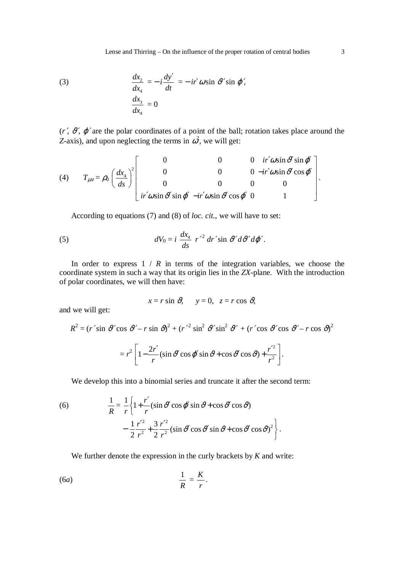(3) 
$$
\frac{dx_2}{dx_4} = -i\frac{dy'}{dt} = -ir'\omega\sin\psi'\sin\varphi',
$$

$$
\frac{dx_3}{dx_4} = 0
$$

 $(r', \vartheta', \varphi')$  are the polar coordinates of a point of the ball; rotation takes place around the *Z*-axis), and upon neglecting the terms in  $\omega^2$ , we will get:

(4) 
$$
T_{\mu\nu} = \rho_0 \left(\frac{dx_4}{ds}\right)^2 \begin{bmatrix} 0 & 0 & 0 & ir'\omega\sin\vartheta'\sin\varphi'\\ 0 & 0 & 0 & -ir'\omega\sin\vartheta'\cos\varphi'\\ 0 & 0 & 0 & 0\\ ir'\omega\sin\vartheta'\sin\varphi' & -ir'\omega\sin\vartheta'\cos\varphi' & 0 & 1 \end{bmatrix}.
$$

According to equations (7) and (8) of *loc. cit.*, we will have to set:

(5) 
$$
dV_0 = i \frac{dx_4}{ds} r'^2 dr' \sin \vartheta' d\vartheta' d\varphi'.
$$

In order to express  $1 / R$  in terms of the integration variables, we choose the coordinate system in such a way that its origin lies in the *ZX*-plane. With the introduction of polar coordinates, we will then have:

$$
x = r \sin \theta
$$
,  $y = 0$ ,  $z = r \cos \theta$ ,

and we will get:

$$
R^{2} = (r' \sin \theta' \cos \theta' - r \sin \theta)^{2} + (r'^{2} \sin^{2} \theta' \sin^{2} \theta' + (r' \cos \theta' \cos \theta' - r \cos \theta)^{2}
$$

$$
= r^{2} \left[ 1 - \frac{2r'}{r} (\sin \theta' \cos \phi' \sin \theta + \cos \theta' \cos \theta) + \frac{r'^{2}}{r^{2}} \right].
$$

We develop this into a binomial series and truncate it after the second term:

(6) 
$$
\frac{1}{R} = \frac{1}{r} \left\{ 1 + \frac{r'}{r} (\sin \theta' \cos \phi' \sin \theta + \cos \theta' \cos \theta) - \frac{1}{2} \frac{r'^2}{r^2} + \frac{3}{2} \frac{r'^2}{r^2} (\sin \theta' \cos \theta' \sin \theta + \cos \theta' \cos \theta)^2 \right\}.
$$

We further denote the expression in the curly brackets by *K* and write:

$$
\frac{1}{R} = \frac{K}{r}.
$$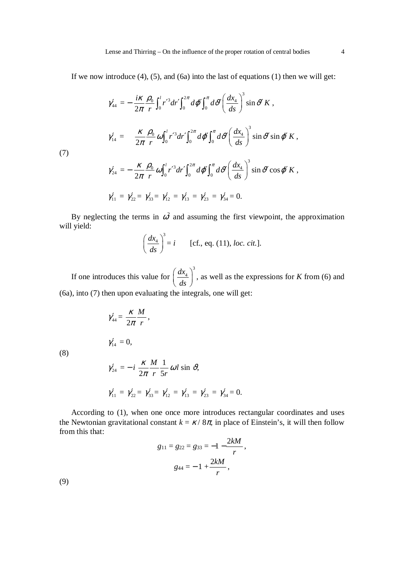If we now introduce  $(4)$ ,  $(5)$ , and  $(6a)$  into the last of equations  $(1)$  then we will get:

$$
\gamma_{44}' = -\frac{i\kappa}{2\pi} \frac{\rho_0}{r} \int_0^l r'^3 dr' \int_0^{2\pi} d\varphi' \int_0^{\pi} d\vartheta' \left(\frac{dx_4}{ds}\right)^3 \sin \vartheta' K,
$$
  

$$
\gamma_{14}' = \frac{\kappa}{2\pi} \frac{\rho_0}{r} \omega \int_0^l r'^3 dr' \int_0^{2\pi} d\varphi' \int_0^{\pi} d\vartheta' \left(\frac{dx_4}{ds}\right)^3 \sin \vartheta' \sin \varphi' K,
$$
  

$$
\gamma_{24}' = -\frac{\kappa}{2\pi} \frac{\rho_0}{r} \omega \int_0^l r'^3 dr' \int_0^{2\pi} d\varphi' \int_0^{\pi} d\vartheta' \left(\frac{dx_4}{ds}\right)^3 \sin \vartheta' \cos \varphi' K,
$$

$$
\gamma'_{11} = \gamma'_{22} = \gamma'_{33} = \gamma'_{12} = \gamma'_{13} = \gamma'_{23} = \gamma'_{34} = 0.
$$

By neglecting the terms in  $\omega^2$  and assuming the first viewpoint, the approximation will yield:

$$
\left(\frac{dx_4}{ds}\right)^3 = i
$$
 [cf., eq. (11), loc. cit.].

 If one introduces this value for 3  $dx_4$  $\left(\frac{dx_4}{ds}\right)^3$ , as well as the expressions for *K* from (6) and (6a), into (7) then upon evaluating the integrals, one will get:

$$
\gamma'_{44} = \frac{\kappa}{2\pi} \frac{M}{r},
$$
  

$$
\gamma'_{14} = 0,
$$

(8)

(7)

$$
\gamma'_{24} = -i \frac{\kappa}{2\pi} \frac{M}{r} \frac{1}{5r} \omega l \sin \vartheta,
$$
  

$$
\gamma'_{11} = \gamma'_{22} = \gamma'_{33} = \gamma'_{12} = \gamma'_{13} = \gamma'_{23} = \gamma'_{34} = 0.
$$

 According to (1), when one once more introduces rectangular coordinates and uses the Newtonian gravitational constant  $k = \kappa / 8\pi$ , in place of Einstein's, it will then follow from this that: 2*kM*

$$
g_{11} = g_{22} = g_{33} = -1 - \frac{2kM}{r},
$$
  
 $g_{44} = -1 + \frac{2kM}{r},$ 

(9)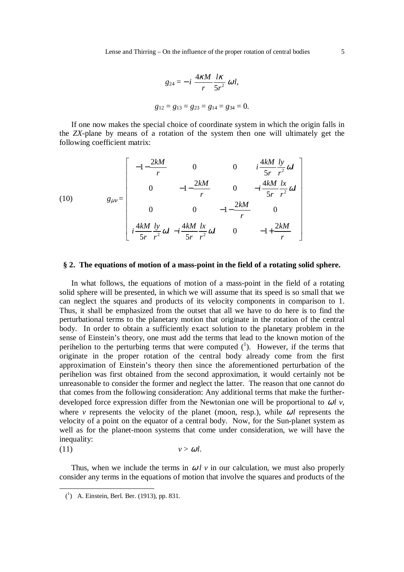$$
g_{24} = -i \frac{4\kappa M}{r} \frac{1\kappa}{5r^2} \omega l,
$$
  

$$
g_{12} = g_{13} = g_{23} = g_{14} = g_{34} = 0.
$$

 If one now makes the special choice of coordinate system in which the origin falls in the *ZX*-plane by means of a rotation of the system then one will ultimately get the following coefficient matrix:

(10) 
$$
g_{\mu\nu} = \begin{bmatrix} -1 - \frac{2kM}{r} & 0 & 0 & i\frac{4kM}{5r} \frac{ly}{r^2} \omega l \\ 0 & -1 - \frac{2kM}{r} & 0 & -i\frac{4kM}{5r} \frac{lx}{r^2} \omega l \\ 0 & 0 & -1 - \frac{2kM}{r} & 0 \\ i\frac{4kM}{5r} \frac{ly}{r^2} \omega l & -i\frac{4kM}{5r} \frac{lx}{r^2} \omega l & 0 & -1 + \frac{2kM}{r} \end{bmatrix}
$$

#### **§ 2. The equations of motion of a mass-point in the field of a rotating solid sphere.**

 In what follows, the equations of motion of a mass-point in the field of a rotating solid sphere will be presented, in which we will assume that its speed is so small that we can neglect the squares and products of its velocity components in comparison to 1. Thus, it shall be emphasized from the outset that all we have to do here is to find the perturbational terms to the planetary motion that originate in the rotation of the central body. In order to obtain a sufficiently exact solution to the planetary problem in the sense of Einstein's theory, one must add the terms that lead to the known motion of the perihelion to the perturbing terms that were computed  $(1)$ . However, if the terms that originate in the proper rotation of the central body already come from the first approximation of Einstein's theory then since the aforementioned perturbation of the perihelion was first obtained from the second approximation, it would certainly not be unreasonable to consider the former and neglect the latter. The reason that one cannot do that comes from the following consideration: Any additional terms that make the furtherdeveloped force expression differ from the Newtonian one will be proportional to  $\omega l$  v, where *v* represents the velocity of the planet (moon, resp.), while  $\omega l$  represents the velocity of a point on the equator of a central body. Now, for the Sun-planet system as well as for the planet-moon systems that come under consideration, we will have the inequality:

$$
(11) \t\t v > \omega l.
$$

Thus, when we include the terms in  $\omega l$  v in our calculation, we must also properly consider any terms in the equations of motion that involve the squares and products of the

l

 <sup>(</sup><sup>1</sup> ) A. Einstein, Berl. Ber. (1913), pp. 831.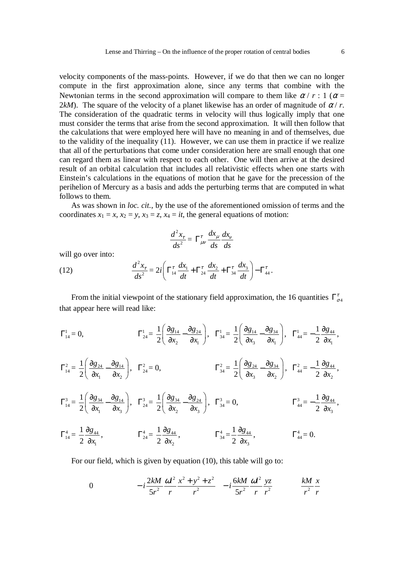velocity components of the mass-points. However, if we do that then we can no longer compute in the first approximation alone, since any terms that combine with the Newtonian terms in the second approximation will compare to them like  $\alpha / r : 1 (\alpha =$ 2kM). The square of the velocity of a planet likewise has an order of magnitude of  $\alpha / r$ . The consideration of the quadratic terms in velocity will thus logically imply that one must consider the terms that arise from the second approximation. It will then follow that the calculations that were employed here will have no meaning in and of themselves, due to the validity of the inequality (11). However, we can use them in practice if we realize that all of the perturbations that come under consideration here are small enough that one can regard them as linear with respect to each other. One will then arrive at the desired result of an orbital calculation that includes all relativistic effects when one starts with Einstein's calculations in the equations of motion that he gave for the precession of the perihelion of Mercury as a basis and adds the perturbing terms that are computed in what follows to them.

 As was shown in *loc. cit.*, by the use of the aforementioned omission of terms and the coordinates  $x_1 = x$ ,  $x_2 = y$ ,  $x_3 = z$ ,  $x_4 = it$ , the general equations of motion:

$$
\frac{d^2x_r}{ds^2} = \Gamma^{\tau}_{\mu\nu} \frac{dx_{\mu}}{ds} \frac{dx_{\nu}}{ds}
$$

will go over into:

(12) 
$$
\frac{d^2x_{\tau}}{ds^2} = 2i \left( \Gamma_{14}^{\tau} \frac{dx_1}{dt} + \Gamma_{24}^{\tau} \frac{dx_2}{dt} + \Gamma_{34}^{\tau} \frac{dx_3}{dt} \right) - \Gamma_{44}^{\tau}.
$$

From the initial viewpoint of the stationary field approximation, the 16 quantities  $\Gamma_{\sigma}^{\tau}$ that appear here will read like:

$$
\Gamma_{14}^1 = 0, \qquad \qquad \Gamma_{24}^1 = \frac{1}{2} \left( \frac{\partial g_{14}}{\partial x_2} - \frac{\partial g_{24}}{\partial x_1} \right), \quad \Gamma_{34}^1 = \frac{1}{2} \left( \frac{\partial g_{14}}{\partial x_3} - \frac{\partial g_{34}}{\partial x_1} \right), \quad \Gamma_{44}^1 = -\frac{1}{2} \frac{\partial g_{44}}{\partial x_1},
$$

$$
\Gamma_{14}^{2} = \frac{1}{2} \left( \frac{\partial g_{24}}{\partial x_{1}} - \frac{\partial g_{14}}{\partial x_{2}} \right), \quad \Gamma_{24}^{2} = 0, \qquad \qquad \Gamma_{34}^{2} = \frac{1}{2} \left( \frac{\partial g_{24}}{\partial x_{3}} - \frac{\partial g_{34}}{\partial x_{2}} \right), \quad \Gamma_{44}^{2} = -\frac{1}{2} \frac{\partial g_{44}}{\partial x_{2}},
$$

$$
\Gamma_{14}^{3} = \frac{1}{2} \left( \frac{\partial g_{34}}{\partial x_1} - \frac{\partial g_{14}}{\partial x_3} \right), \quad \Gamma_{24}^{3} = \frac{1}{2} \left( \frac{\partial g_{34}}{\partial x_2} - \frac{\partial g_{24}}{\partial x_3} \right), \quad \Gamma_{34}^{3} = 0, \qquad \qquad \Gamma_{44}^{3} = -\frac{1}{2} \frac{\partial g_{44}}{\partial x_3},
$$

$$
\Gamma_{14}^4 = \frac{1}{2} \frac{\partial g_{44}}{\partial x_1}, \qquad \Gamma_{24}^4 = \frac{1}{2} \frac{\partial g_{44}}{\partial x_2}, \qquad \Gamma_{34}^4 = \frac{1}{2} \frac{\partial g_{44}}{\partial x_3}, \qquad \Gamma_{44}^4 = 0.
$$

For our field, which is given by equation (10), this table will go to:

0 
$$
-i\frac{2kM}{5r^2}\frac{\omega l^2}{r}\frac{x^2+y^2+z^2}{r^2} -i\frac{6kM}{5r^2}\frac{\omega l^2}{r}\frac{yz}{r^2} \qquad \frac{kM}{r^2}\frac{x}{r}
$$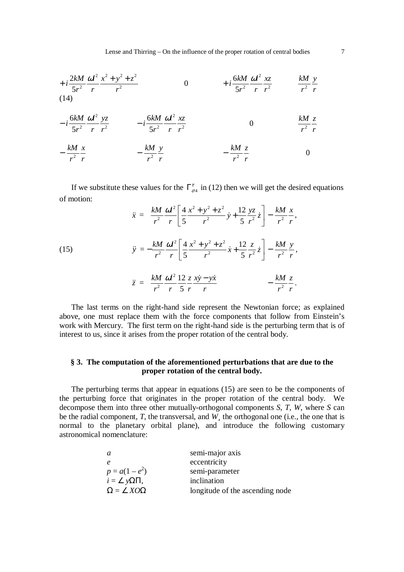$$
+ i \frac{2kM}{5r^2} \frac{\omega l^2}{r} \frac{x^2 + y^2 + z^2}{r^2}
$$
 0 
$$
+ i \frac{6kM}{5r^2} \frac{\omega l^2}{r} \frac{xz}{r^2}
$$
 
$$
\frac{kM}{r^2} \frac{y}{r}
$$
 (14)

$$
-i\frac{6kM}{5r^2}\frac{\omega l^2}{r}\frac{yz}{r^2} -i\frac{6kM}{5r^2}\frac{\omega l^2}{r}\frac{xz}{r^2}
$$
0 
$$
\frac{kM}{r^2}\frac{z}{r}
$$

$$
-\frac{kM}{r^2}\frac{x}{r} \qquad -\frac{kM}{r^2}\frac{y}{r} \qquad -\frac{kM}{r^2}\frac{z}{r} \qquad 0
$$

If we substitute these values for the  $\Gamma_{\sigma_4}^{\tau}$  in (12) then we will get the desired equations of motion:

(15)  
\n
$$
\ddot{x} = \frac{kM}{r^2} \frac{\omega l^2}{r} \left[ \frac{4}{5} \frac{x^2 + y^2 + z^2}{r^2} \dot{y} + \frac{12}{5} \frac{yz}{r^2} \dot{z} \right] - \frac{kM}{r^2} \frac{x}{r},
$$
\n
$$
\ddot{y} = -\frac{kM}{r^2} \frac{\omega l^2}{r} \left[ \frac{4}{5} \frac{x^2 + y^2 + z^2}{r^2} \dot{x} + \frac{12}{5} \frac{z}{r^2} \dot{z} \right] - \frac{kM}{r^2} \frac{y}{r},
$$
\n
$$
\ddot{z} = \frac{kM}{r^2} \frac{\omega l^2}{r} \frac{12}{5} \frac{z}{r} \frac{xy - y\dot{x}}{r} - \frac{kM}{r^2} \frac{z}{r}.
$$

5

*r r r r*

 The last terms on the right-hand side represent the Newtonian force; as explained above, one must replace them with the force components that follow from Einstein's work with Mercury. The first term on the right-hand side is the perturbing term that is of interest to us, since it arises from the proper rotation of the central body.

## **§ 3. The computation of the aforementioned perturbations that are due to the proper rotation of the central body.**

 The perturbing terms that appear in equations (15) are seen to be the components of the perturbing force that originates in the proper rotation of the central body. We decompose them into three other mutually-orthogonal components *S*, *T*, *W*, where *S* can be the radial component, *T*, the transversal, and *W¸* the orthogonal one (i.e., the one that is normal to the planetary orbital plane), and introduce the following customary astronomical nomenclature:

| a                            | semi-major axis                 |
|------------------------------|---------------------------------|
|                              | eccentricity                    |
| $p = a(1 - e^2)$             | semi-parameter                  |
| $i = \angle y\Omega\Pi$ ,    | inclination                     |
| $\Omega = \angle X O \Omega$ | longitude of the ascending node |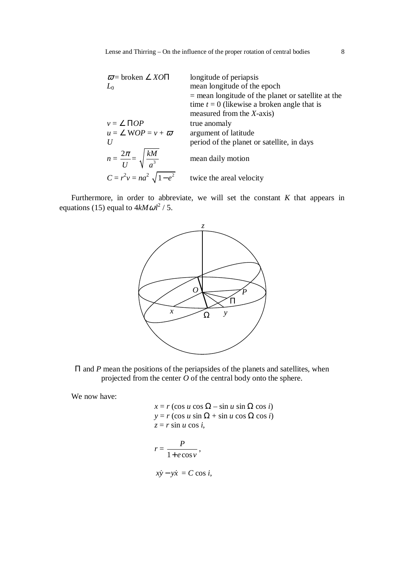| $\overline{\omega}$ = broken $\angle$ XOII   | longitude of periapsis                               |
|----------------------------------------------|------------------------------------------------------|
| $L_{0}$                                      | mean longitude of the epoch                          |
|                                              | $=$ mean longitude of the planet or satellite at the |
|                                              | time $t = 0$ (likewise a broken angle that is        |
|                                              | measured from the $X$ -axis)                         |
| $v = \angle \Pi OP$                          | true anomaly                                         |
| $u = \angle WOP = v + \overline{\omega}$     | argument of latitude                                 |
| $\boldsymbol{U}$                             | period of the planet or satellite, in days           |
| $n = \frac{2\pi}{U} = \sqrt{\frac{kM}{a^3}}$ | mean daily motion                                    |
| $C = r^2 v = na^2 \sqrt{1 - e^2}$            | twice the areal velocity                             |

 Furthermore, in order to abbreviate, we will set the constant *K* that appears in equations (15) equal to  $4kM\omega l^2/5$ .



Π and *P* mean the positions of the periapsides of the planets and satellites, when projected from the center *O* of the central body onto the sphere.

We now have:

$$
x = r (\cos u \cos \Omega - \sin u \sin \Omega \cos i)
$$
  
\n
$$
y = r (\cos u \sin \Omega + \sin u \cos \Omega \cos i)
$$
  
\n
$$
z = r \sin u \cos i,
$$
  
\n
$$
r = \frac{P}{1 + e \cos v},
$$

$$
x\dot{y} - y\dot{x} = C \cos i,
$$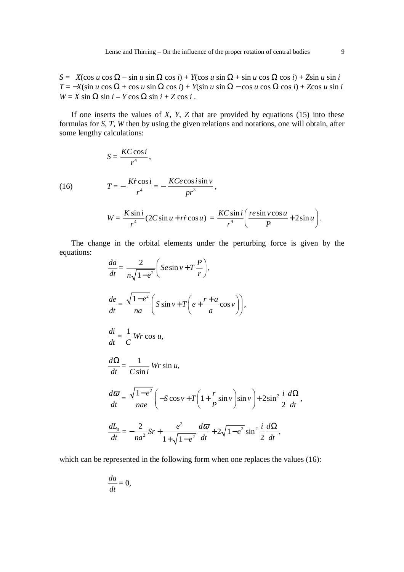$S = X(\cos u \cos \Omega - \sin u \sin \Omega \cos i) + Y(\cos u \sin \Omega + \sin u \cos \Omega \cos i) + Z\sin u \sin i$  $T = -X(\sin u \cos \Omega + \cos u \sin \Omega \cos i) + Y(\sin u \sin \Omega - \cos u \cos \Omega \cos i) + Z\cos u \sin i$  $W = X \sin \Omega \sin i - Y \cos \Omega \sin i + Z \cos i$ .

 If one inserts the values of *X*, *Y*, *Z* that are provided by equations (15) into these formulas for *S*, *T*, *W* then by using the given relations and notations, one will obtain, after some lengthy calculations:

(16) 
$$
S = \frac{KC \cos i}{r^4},
$$
  
\n
$$
T = -\frac{Kr \cos i}{r^4} = -\frac{KC e \cos i \sin v}{pr^3},
$$
  
\n
$$
W = \frac{K \sin i}{r^4} (2C \sin u + rr \cos u) = \frac{KC \sin i}{r^4} \left( \frac{resin v \cos u}{P} + 2 \sin u \right).
$$

 The change in the orbital elements under the perturbing force is given by the equations:

$$
\frac{da}{dt} = \frac{2}{n\sqrt{1 - e^2}} \left( Se \sin v + T \frac{P}{r} \right),
$$
\n
$$
\frac{de}{dt} = \frac{\sqrt{1 - e^2}}{na} \left( S \sin v + T \left( e + \frac{r + a}{a} \cos v \right) \right),
$$
\n
$$
\frac{di}{dt} = \frac{1}{C} \text{Wr} \cos u,
$$
\n
$$
\frac{d\Omega}{dt} = \frac{1}{C \sin i} \text{Wr} \sin u,
$$
\n
$$
\frac{d\sigma}{dt} = \frac{\sqrt{1 - e^2}}{nae} \left( -S \cos v + T \left( 1 + \frac{r}{P} \sin v \right) \sin v \right) + 2 \sin^2 \frac{i}{2} \frac{d\Omega}{dt},
$$
\n
$$
\frac{dL_0}{dt} = -\frac{2}{na^2} Sr + \frac{e^2}{1 + \sqrt{1 - e^2}} \frac{d\sigma}{dt} + 2\sqrt{1 - e^2} \sin^2 \frac{i}{2} \frac{d\Omega}{dt},
$$

which can be represented in the following form when one replaces the values (16):

$$
\frac{da}{dt}=0,
$$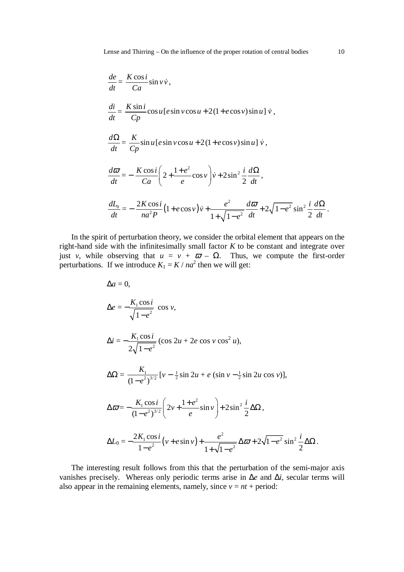$$
\frac{de}{dt} = \frac{K \cos i}{Ca} \sin v \dot{v},
$$
\n
$$
\frac{di}{dt} = \frac{K \sin i}{Cp} \cos u [e \sin v \cos u + 2(1 + e \cos v) \sin u] \dot{v},
$$
\n
$$
\frac{d\Omega}{dt} = \frac{K}{Cp} \sin u [e \sin v \cos u + 2(1 + e \cos v) \sin u] \dot{v},
$$
\n
$$
\frac{d\sigma}{dt} = -\frac{K \cos i}{Ca} \left( 2 + \frac{1 + e^2}{e} \cos v \right) \dot{v} + 2 \sin^2 \frac{i}{2} \frac{d\Omega}{dt},
$$
\n
$$
\frac{dL_0}{dt} = -\frac{2K \cos i}{na^2 P} (1 + e \cos v) \dot{v} + \frac{e^2}{1 + \sqrt{1 - e^2}} \frac{d\sigma}{dt} + 2\sqrt{1 - e^2} \sin^2 \frac{i}{2} \frac{d\Omega}{dt}.
$$

 In the spirit of perturbation theory, we consider the orbital element that appears on the right-hand side with the infinitesimally small factor *K* to be constant and integrate over just *v*, while observing that  $u = v + \overline{\omega} - \Omega$ . Thus, we compute the first-order perturbations. If we introduce  $K_1 = K / na^2$  then we will get:

$$
\Delta a = 0,
$$
  
\n
$$
\Delta e = -\frac{K_1 \cos i}{\sqrt{1 - e^2}} \cos v,
$$
  
\n
$$
\Delta i = -\frac{K_1 \cos i}{2\sqrt{1 - e^2}} (\cos 2u + 2e \cos v \cos^2 u),
$$
  
\n
$$
\Delta \Omega = \frac{K_1}{(1 - e^2)^{3/2}} [v - \frac{1}{2} \sin 2u + e (\sin v - \frac{1}{2} \sin 2u \cos v)],
$$
  
\n
$$
\Delta \varpi = -\frac{K_1 \cos i}{(1 - e^2)^{3/2}} \left( 2v + \frac{1 + e^2}{e} \sin v \right) + 2 \sin^2 \frac{i}{2} \Delta \Omega,
$$
  
\n
$$
\Delta L_0 = -\frac{2K_1 \cos i}{1 - e^2} (v + e \sin v) + \frac{e^2}{1 + \sqrt{1 - e^2}} \Delta \varpi + 2\sqrt{1 - e^2} \sin^2 \frac{i}{2} \Delta \Omega.
$$

 The interesting result follows from this that the perturbation of the semi-major axis vanishes precisely. Whereas only periodic terms arise in ∆*e* and ∆*i*, secular terms will also appear in the remaining elements, namely, since  $v = nt +$  period: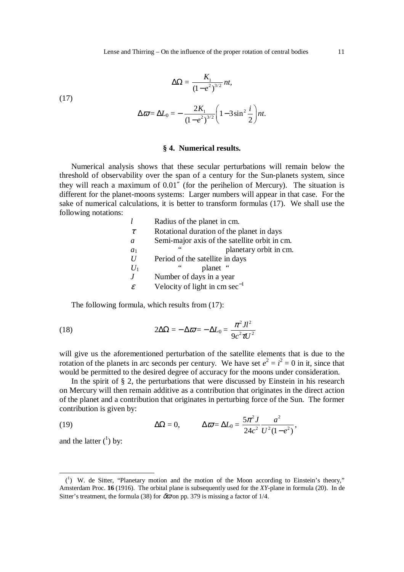$$
\Delta\Omega = \frac{K_1}{\left(1-e^2\right)^{3/2}} nt,
$$

(17)

$$
\Delta \varpi = \Delta L_0 = -\frac{2K_1}{(1 - e^2)^{3/2}} \left(1 - 3\sin^2\frac{i}{2}\right)nt.
$$

### **§ 4. Numerical results.**

 Numerical analysis shows that these secular perturbations will remain below the threshold of observability over the span of a century for the Sun-planets system, since they will reach a maximum of 0.01″ (for the perihelion of Mercury). The situation is different for the planet-moons systems: Larger numbers will appear in that case. For the sake of numerical calculations, it is better to transform formulas (17). We shall use the following notations:

|              | Radius of the planet in cm.                   |
|--------------|-----------------------------------------------|
| $\tau$       | Rotational duration of the planet in days     |
| a            | Semi-major axis of the satellite orbit in cm. |
| $a_1$        | 66<br>planetary orbit in cm.                  |
| II           | Period of the satellite in days               |
| $U_1$        | 66<br>planet "                                |
| $\cdot$      | Number of days in a year                      |
| $\mathcal E$ | Velocity of light in $cm \text{ sec}^{-1}$    |

The following formula, which results from (17):

(18) 
$$
2\Delta\Omega = -\Delta\varpi = -\Delta L_0 = \frac{\pi^2 J l^2}{9c^2 \tau U^2}
$$

will give us the aforementioned perturbation of the satellite elements that is due to the rotation of the planets in arc seconds per century. We have set  $e^2 = i^2 = 0$  in it, since that would be permitted to the desired degree of accuracy for the moons under consideration.

In the spirit of  $\S$  2, the perturbations that were discussed by Einstein in his research on Mercury will then remain additive as a contribution that originates in the direct action of the planet and a contribution that originates in perturbing force of the Sun. The former contribution is given by:

(19) 
$$
\Delta\Omega = 0, \qquad \Delta\varpi = \Delta L_0 = \frac{5\pi^2 J}{24c^2} \frac{a^2}{U^2(1-e^2)},
$$

and the latter  $({}^{1})$  by:

l

 <sup>(</sup><sup>1</sup> ) W. de Sitter, "Planetary motion and the motion of the Moon according to Einstein's theory," Amsterdam Proc. **16** (1916). The orbital plane is subsequently used for the *XY*-plane in formula (20). In de Sitter's treatment, the formula (38) for  $\delta \overline{\omega}$  on pp. 379 is missing a factor of 1/4.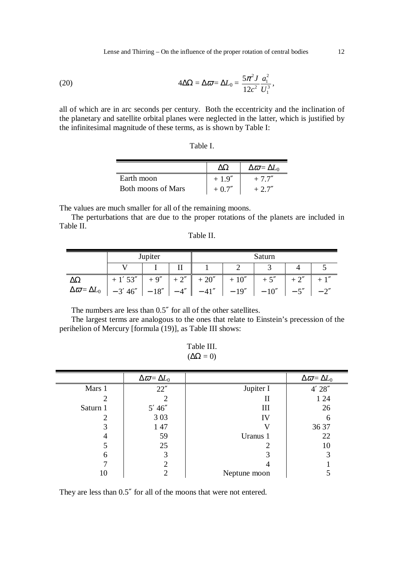Lense and Thirring – On the influence of the proper rotation of central bodies 12

(20) 
$$
4\Delta\Omega = \Delta\varpi = \Delta L_0 = \frac{5\pi^2 J}{12c^2} \frac{a_1^2}{U_1^3},
$$

all of which are in arc seconds per century. Both the eccentricity and the inclination of the planetary and satellite orbital planes were neglected in the latter, which is justified by the infinitesimal magnitude of these terms, as is shown by Table I:

|                           |          | $\Delta \varpi = \Delta L_0$ |
|---------------------------|----------|------------------------------|
| Earth moon                | $+1.9''$ | $+7.7''$                     |
| <b>Both moons of Mars</b> | $+0.7''$ | $+2.7''$                     |

The values are much smaller for all of the remaining moons.

 The perturbations that are due to the proper rotations of the planets are included in Table II. Table II.

| Table II. |
|-----------|
|-----------|

|                                                                        | Jupiter                     |  |  | Saturn |         |                        |       |       |
|------------------------------------------------------------------------|-----------------------------|--|--|--------|---------|------------------------|-------|-------|
|                                                                        |                             |  |  |        |         |                        |       |       |
|                                                                        | $+1'53''$ + 9" + 2" + 20" + |  |  |        | $+10''$ | $+5''$                 | $+2"$ |       |
| $\Delta \varpi = \Delta L_0$   $-3' 46''$   $-18''$   $-4''$   $-41''$ |                             |  |  |        |         | $-19''$ $-10''$ $-5''$ |       | $-2"$ |

The numbers are less than 0.5″ for all of the other satellites.

 The largest terms are analogous to the ones that relate to Einstein's precession of the perihelion of Mercury [formula (19)], as Table III shows:

Table III.  $(\Delta\Omega = 0)$ 

|          | $\Delta \varpi = \Delta L_0$ |              | $\Delta \varpi = \Delta L_0$ |
|----------|------------------------------|--------------|------------------------------|
| Mars 1   | 22''                         | Jupiter I    | 4' 28''                      |
|          |                              | П            | 1 24                         |
| Saturn 1 | 5' 46''                      | Ш            | 26                           |
| 2        | 3 0 3                        | IV           | 6                            |
| 3        | 1 47                         |              | 36 37                        |
|          | 59                           | Uranus 1     | 22                           |
|          | 25                           |              | 10                           |
| 6        | 3                            |              | 3                            |
|          |                              |              |                              |
| 10       |                              | Neptune moon |                              |

They are less than 0.5″ for all of the moons that were not entered.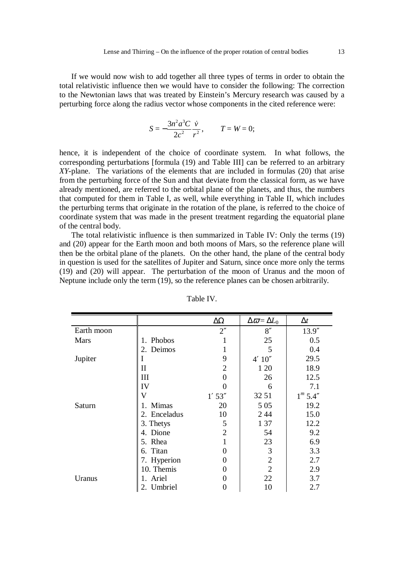If we would now wish to add together all three types of terms in order to obtain the total relativistic influence then we would have to consider the following: The correction to the Newtonian laws that was treated by Einstein's Mercury research was caused by a perturbing force along the radius vector whose components in the cited reference were:

$$
S = -\frac{3n^2a^3C}{2c^2} \frac{\dot{v}}{r^2}, \qquad T = W = 0;
$$

hence, it is independent of the choice of coordinate system. In what follows, the corresponding perturbations [formula (19) and Table III] can be referred to an arbitrary *XY*-plane. The variations of the elements that are included in formulas (20) that arise from the perturbing force of the Sun and that deviate from the classical form, as we have already mentioned, are referred to the orbital plane of the planets, and thus, the numbers that computed for them in Table I, as well, while everything in Table II, which includes the perturbing terms that originate in the rotation of the plane, is referred to the choice of coordinate system that was made in the present treatment regarding the equatorial plane of the central body.

 The total relativistic influence is then summarized in Table IV: Only the terms (19) and (20) appear for the Earth moon and both moons of Mars, so the reference plane will then be the orbital plane of the planets. On the other hand, the plane of the central body in question is used for the satellites of Jupiter and Saturn, since once more only the terms (19) and (20) will appear. The perturbation of the moon of Uranus and the moon of Neptune include only the term (19), so the reference planes can be chosen arbitrarily.

|             |              | $\Delta\Omega$     | $\Delta \varpi = \Delta L_0$ | $\Delta t$ |
|-------------|--------------|--------------------|------------------------------|------------|
| Earth moon  |              | $2^{\prime\prime}$ | 8''                          | 13.9''     |
| <b>Mars</b> | Phobos<br>1. | 1                  | 25                           | 0.5        |
|             | Deimos<br>2. | 1                  | 5                            | 0.4        |
| Jupiter     | I            | 9                  | 4' 10''                      | 29.5       |
|             | $\mathbf{I}$ | $\overline{2}$     | 1 20                         | 18.9       |
|             | Ш            | 0                  | 26                           | 12.5       |
|             | IV           |                    | 6                            | 7.1        |
|             | V            | $1'$ 53"           | 32 51                        | $1^m$ 5.4" |
| Saturn      | 1. Mimas     | 20                 | 5 0 5                        | 19.2       |
|             | 2. Enceladus | 10                 | 2 4 4                        | 15.0       |
|             | 3. Thetys    | 5                  | 1 37                         | 12.2       |
|             | 4. Dione     | $\overline{2}$     | 54                           | 9.2        |
|             | 5. Rhea      | 1                  | 23                           | 6.9        |
|             | 6. Titan     | 0                  | 3                            | 3.3        |
|             | 7. Hyperion  | 0                  | $\overline{2}$               | 2.7        |
|             | 10. Themis   | 0                  | $\overline{2}$               | 2.9        |
| Uranus      | Ariel        | 0                  | 22                           | 3.7        |
|             | 2. Umbriel   | 0                  | 10                           | 2.7        |

Table IV.